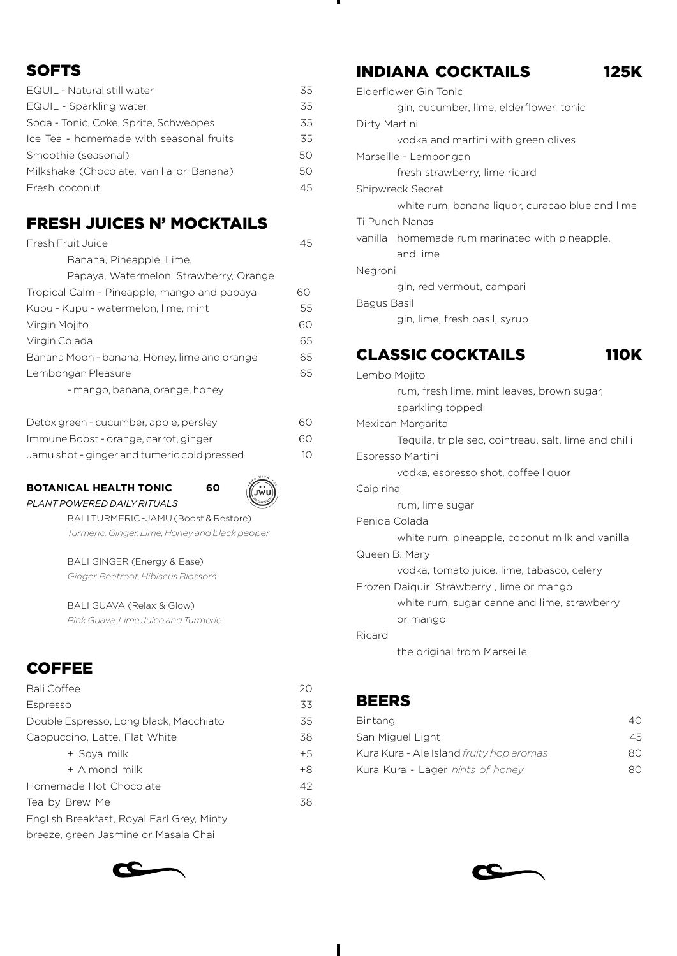### **SOFTS**

| EQUIL - Natural still water              | 35 |
|------------------------------------------|----|
| EQUIL - Sparkling water                  | 35 |
| Soda - Tonic, Coke, Sprite, Schweppes    | 35 |
| Ice Tea - homemade with seasonal fruits  | 35 |
| Smoothie (seasonal)                      | 50 |
| Milkshake (Chocolate, vanilla or Banana) | 50 |
| Fresh coconut                            | 45 |

### FRESH JUICES N' MOCKTAILS

| Fresh Fruit Juice                            | 45 |
|----------------------------------------------|----|
| Banana, Pineapple, Lime,                     |    |
| Papaya, Watermelon, Strawberry, Orange       |    |
| Tropical Calm - Pineapple, mango and papaya  | 60 |
| Kupu - Kupu - watermelon, lime, mint         | 55 |
| Virgin Mojito                                | 60 |
| Virgin Colada                                | 65 |
| Banana Moon - banana, Honey, lime and orange | 65 |
| Lembongan Pleasure                           | 65 |
| - mango, banana, orange, honey               |    |
| Detox green - cucumber, apple, persley       | 60 |

| <b>PUCCOA MICUIT CUCULINUS, UPPIC, PUISICY</b> | $\cdots$ |
|------------------------------------------------|----------|
| Immune Boost - orange, carrot, ginger          | 60       |
| Jamu shot - ginger and tumeric cold pressed    | 10       |

#### **BOTANICAL HEALTH TONIC 60** *PLANT POWERED DAILY RITUALS*



BALI TURMERIC -JAMU (Boost & Restore) *Turmeric, Ginger, Lime, Honey and black pepper*

BALI GINGER (Energy & Ease) *Ginger, Beetroot, Hibiscus Blossom*

BALI GUAVA (Relax & Glow) *Pink Guava, Lime Juice and Turmeric*

# **COFFEE**

| <b>Bali Coffee</b>                        | 20   |
|-------------------------------------------|------|
| Espresso                                  | 33   |
| Double Espresso, Long black, Macchiato    | 35   |
| Cappuccino, Latte, Flat White             | 38   |
| + Sova milk                               | $+5$ |
| + Almond milk                             | $+8$ |
| Homemade Hot Chocolate                    | 42   |
| Tea by Brew Me                            | 38   |
| English Breakfast, Royal Earl Grey, Minty |      |
| breeze, green Jasmine or Masala Chai      |      |



### INDIANA COCKTAILS 125K

|               | Elderflower Gin Tonic                                 |
|---------------|-------------------------------------------------------|
|               | gin, cucumber, lime, elderflower, tonic               |
| Dirty Martini |                                                       |
|               | vodka and martini with green olives                   |
|               | Marseille - Lembongan                                 |
|               | fresh strawberry, lime ricard                         |
|               | Shipwreck Secret                                      |
|               | white rum, banana liquor, curacao blue and lime       |
|               | Ti Punch Nanas                                        |
| vanilla       | homemade rum marinated with pineapple,                |
|               | and lime                                              |
| Negroni       |                                                       |
|               | gin, red vermout, campari                             |
| Bagus Basil   |                                                       |
|               | gin, lime, fresh basil, syrup                         |
|               |                                                       |
|               | <b>CLASSIC COCKTAILS</b><br><b>110</b>                |
| Lembo Mojito  |                                                       |
|               | rum, fresh lime, mint leaves, brown sugar,            |
|               | sparkling topped                                      |
|               | Mexican Margarita                                     |
|               | Tequila, triple sec, cointreau, salt, lime and chilli |
|               | Espresso Martini                                      |
|               | vodka, espresso shot, coffee liquor                   |
| Caipirina     |                                                       |
|               | rum, lime sugar                                       |

Penida Colada

white rum, pineapple, coconut milk and vanilla Queen B. Mary

vodka, tomato juice, lime, tabasco, celery

Frozen Daiquiri Strawberry , lime or mango

white rum, sugar canne and lime, strawberry

or mango

Ricard

the original from Marseille

### BEERS

| Bintang                                  | 40. |
|------------------------------------------|-----|
| San Miguel Light                         | 45. |
| Kura Kura - Ale Island fruity hop aromas | റെ  |
| Kura Kura - Lager hints of honey         | 80. |